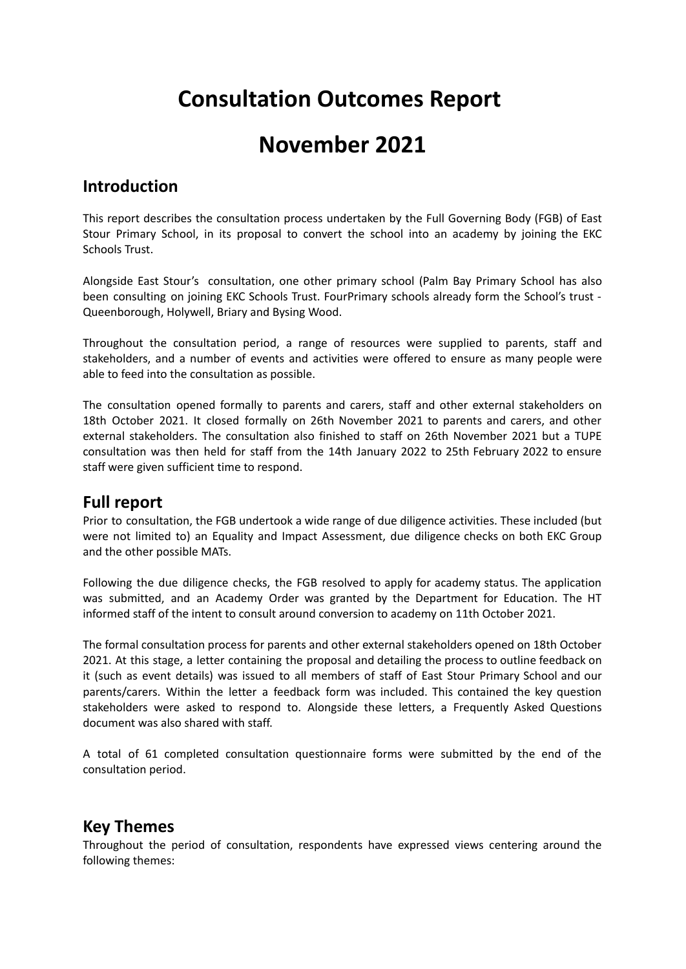# **Consultation Outcomes Report**

## **November 2021**

## **Introduction**

This report describes the consultation process undertaken by the Full Governing Body (FGB) of East Stour Primary School, in its proposal to convert the school into an academy by joining the EKC Schools Trust.

Alongside East Stour's consultation, one other primary school (Palm Bay Primary School has also been consulting on joining EKC Schools Trust. FourPrimary schools already form the School's trust - Queenborough, Holywell, Briary and Bysing Wood.

Throughout the consultation period, a range of resources were supplied to parents, staff and stakeholders, and a number of events and activities were offered to ensure as many people were able to feed into the consultation as possible.

The consultation opened formally to parents and carers, staff and other external stakeholders on 18th October 2021. It closed formally on 26th November 2021 to parents and carers, and other external stakeholders. The consultation also finished to staff on 26th November 2021 but a TUPE consultation was then held for staff from the 14th January 2022 to 25th February 2022 to ensure staff were given sufficient time to respond.

## **Full report**

Prior to consultation, the FGB undertook a wide range of due diligence activities. These included (but were not limited to) an Equality and Impact Assessment, due diligence checks on both EKC Group and the other possible MATs.

Following the due diligence checks, the FGB resolved to apply for academy status. The application was submitted, and an Academy Order was granted by the Department for Education. The HT informed staff of the intent to consult around conversion to academy on 11th October 2021.

The formal consultation process for parents and other external stakeholders opened on 18th October 2021. At this stage, a letter containing the proposal and detailing the process to outline feedback on it (such as event details) was issued to all members of staff of East Stour Primary School and our parents/carers. Within the letter a feedback form was included. This contained the key question stakeholders were asked to respond to. Alongside these letters, a Frequently Asked Questions document was also shared with staff.

A total of 61 completed consultation questionnaire forms were submitted by the end of the consultation period.

#### **Key Themes**

Throughout the period of consultation, respondents have expressed views centering around the following themes: